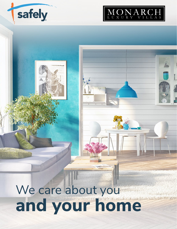# We care about you **and your home**





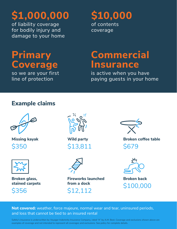## **\$1,000,000**

of liability coverage for bodily injury and damage to your home

### **\$10,000** of contents coverage

## **Primary Coverage**

so we are your first line of protection

### **Commercial Insurance**

is active when you have paying guests in your home

#### **Example claims**



**Missing kayak**  \$350



**Broken glass, stained carpets**

\$356



**Wild party** \$13,811



**Fireworks launched from a dock**

\$12,112



**Broken coffee table** \$679



**Broken back** \$100,000

**Not covered:** weather, force majeure, normal wear and tear, uninsured periods, and loss that cannot be tied to an insured rental

Safely's insurance is underwritten by Voyager Indemnity Insurance Company, rated "A" by A.M. Best. Coverage and exclusions shown above are examples of coverage and not intended to represent all coverages and exclusions. See policy for complete details.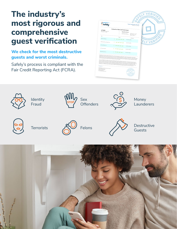### **The industry's most rigorous and comprehensive guest verification**

#### **We check for the most destructive guests and worst criminals.**

Safely's process is compliant with the Fair Credit Reporting Act (FCRA).

| safely                                                                                                                      | ELY VERIFIED<br><b>Guest Verification Results</b><br>Checked on: Oct 27, 2017                                                                                                                                                                                                                                                                                                                                                                                                                                                                                                                                                                                                                                                                                                                                                                                                                                                                                                                                                                                                                                                                                                                                                                                                                                                                                                                                                                                                                                                                                                                                                                                                                                                                                                                                                                                                                                                                                                                                                                                                                                                                   |
|-----------------------------------------------------------------------------------------------------------------------------|-------------------------------------------------------------------------------------------------------------------------------------------------------------------------------------------------------------------------------------------------------------------------------------------------------------------------------------------------------------------------------------------------------------------------------------------------------------------------------------------------------------------------------------------------------------------------------------------------------------------------------------------------------------------------------------------------------------------------------------------------------------------------------------------------------------------------------------------------------------------------------------------------------------------------------------------------------------------------------------------------------------------------------------------------------------------------------------------------------------------------------------------------------------------------------------------------------------------------------------------------------------------------------------------------------------------------------------------------------------------------------------------------------------------------------------------------------------------------------------------------------------------------------------------------------------------------------------------------------------------------------------------------------------------------------------------------------------------------------------------------------------------------------------------------------------------------------------------------------------------------------------------------------------------------------------------------------------------------------------------------------------------------------------------------------------------------------------------------------------------------------------------------|
| Lu Huiyin<br>2841 SW 13th St, Apt A302<br>Galnesville, FL 32608                                                             | Produced for: Willow Creek Cabin Rentals<br>Reservation information<br>Amival Nov 10, 2017<br>Departure Nov 12, 2017<br>Blue Hoven Creek Cabin<br>593 Cascade Ln, Blue                                                                                                                                                                                                                                                                                                                                                                                                                                                                                                                                                                                                                                                                                                                                                                                                                                                                                                                                                                                                                                                                                                                                                                                                                                                                                                                                                                                                                                                                                                                                                                                                                                                                                                                                                                                                                                                                                                                                                                          |
| <b>Barn</b>                                                                                                                 | Ridge, GA 30513                                                                                                                                                                                                                                                                                                                                                                                                                                                                                                                                                                                                                                                                                                                                                                                                                                                                                                                                                                                                                                                                                                                                                                                                                                                                                                                                                                                                                                                                                                                                                                                                                                                                                                                                                                                                                                                                                                                                                                                                                                                                                                                                 |
| Identity Verification                                                                                                       | <b>Status</b><br>Comments                                                                                                                                                                                                                                                                                                                                                                                                                                                                                                                                                                                                                                                                                                                                                                                                                                                                                                                                                                                                                                                                                                                                                                                                                                                                                                                                                                                                                                                                                                                                                                                                                                                                                                                                                                                                                                                                                                                                                                                                                                                                                                                       |
| Global Sanctions and Watch List                                                                                             | VERIE<br>No action needed<br>Q<br>No action needed                                                                                                                                                                                                                                                                                                                                                                                                                                                                                                                                                                                                                                                                                                                                                                                                                                                                                                                                                                                                                                                                                                                                                                                                                                                                                                                                                                                                                                                                                                                                                                                                                                                                                                                                                                                                                                                                                                                                                                                                                                                                                              |
| U.S Sex Offender List                                                                                                       | No action needed                                                                                                                                                                                                                                                                                                                                                                                                                                                                                                                                                                                                                                                                                                                                                                                                                                                                                                                                                                                                                                                                                                                                                                                                                                                                                                                                                                                                                                                                                                                                                                                                                                                                                                                                                                                                                                                                                                                                                                                                                                                                                                                                |
| U.S Criminal History                                                                                                        | റ<br>No action needed                                                                                                                                                                                                                                                                                                                                                                                                                                                                                                                                                                                                                                                                                                                                                                                                                                                                                                                                                                                                                                                                                                                                                                                                                                                                                                                                                                                                                                                                                                                                                                                                                                                                                                                                                                                                                                                                                                                                                                                                                                                                                                                           |
| Safety Bad Guern List                                                                                                       | No action needed                                                                                                                                                                                                                                                                                                                                                                                                                                                                                                                                                                                                                                                                                                                                                                                                                                                                                                                                                                                                                                                                                                                                                                                                                                                                                                                                                                                                                                                                                                                                                                                                                                                                                                                                                                                                                                                                                                                                                                                                                                                                                                                                |
| Contact <sub>US</sub><br>C SafelyStay, Inc. 2017. All rights reserved.<br>75 5th St NW, Suite 2310<br>Atlanta, GA USA 30308 | ν προκειμή σε αν Greek enterior, αλιτη χειτητα στο νεπεικο σύνος οι ουσε και διασία πεσανα πτιη πελιεπένει σε μποσκατοση.<br>Σε αναφέρεται είναι από του σε σταν παρακτιμού είναι είναι 200,000 διαφέρεσε έχει ο παρακτιμοποιείτ<br>eplands unto street and Louisy tria magars, and a part were divided registered and trialistics and the magazin<br>Global Faust and Cente lists including Operatings Basicinal And Theories in the Handing Branch Common to prec<br>G<br>govern user most bust hard in Josefa Westmins Readman, Mar Hispanin step and a Romang and Ten 4 (use Garrenami<br>Statemen Gallery Testorial Windshire, And Money Cauche and (AM), Whichings and CIA Washings. Surfly's proprieto<br>This is a CONVIDENTIAL REPORT and has been prepared assigningly for the shown hand client. This report does not guarantee the control of the state of the state of the state of the state of the state of the state of the sta<br>i ika di a Universitati Mi, ant una la familia primare exclusive solo anti Mosel lument came. In a report chemo<br>Impactify of hashila mete of the information was to be subject of the contrastency bea only shall be a common<br>accords y cruative. Resp. Or use to creative the parameter with confessiones, the cost you, a ct west-resp segme your pros-<br>records: information generated as a restal of Maxim that is scalarly entities of criminal equity m<br>shoots. mpo-man, givestive die neuer in networp inter, entwickly entwickle up Groupsk economy floor de verbouw<br>The containers who is the subject of the report Adollariably, SafetyStay for makes on recommendation as to inte<br>lle gobowthe, who will be dependence of the property partylenty on manne our music regulators as a search resolver to are a<br>all countries, by acceptance of this report, by client would full exportably for any top of advant<br>ilhumliano, ur zkveplane (u usta sadau sta vegu mičajna har relayvitavara ne za rete vi zamninem pr. mit, rans<br>Safelydaty to: 75 NW (th) Si, Safe 2130, Aliatia (14 30208, Plette email obscrepegizatelyttay obes if you have<br>$-15$ |